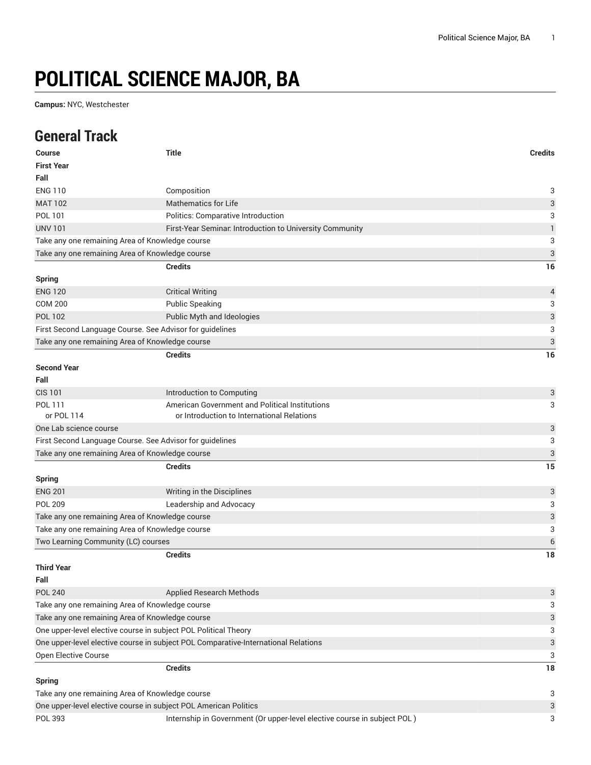## **POLITICAL SCIENCE MAJOR, BA**

**Campus:** NYC, Westchester

## **General Track**

| <b>Course</b>                       | <b>Title</b>                                                                       | <b>Credits</b>            |
|-------------------------------------|------------------------------------------------------------------------------------|---------------------------|
| <b>First Year</b>                   |                                                                                    |                           |
| Fall                                |                                                                                    |                           |
| <b>ENG 110</b>                      | Composition                                                                        | 3                         |
| <b>MAT 102</b>                      | <b>Mathematics for Life</b>                                                        | $\ensuremath{\mathsf{3}}$ |
| POL 101                             | Politics: Comparative Introduction                                                 | 3                         |
| <b>UNV 101</b>                      | First-Year Seminar. Introduction to University Community                           | $\mathbf{1}$              |
|                                     | Take any one remaining Area of Knowledge course                                    | 3                         |
|                                     | Take any one remaining Area of Knowledge course                                    | $\ensuremath{\mathsf{3}}$ |
|                                     | <b>Credits</b>                                                                     | 16                        |
| <b>Spring</b>                       |                                                                                    |                           |
| <b>ENG 120</b>                      | <b>Critical Writing</b>                                                            | 4                         |
| <b>COM 200</b>                      | <b>Public Speaking</b>                                                             | 3                         |
| <b>POL 102</b>                      | Public Myth and Ideologies                                                         | 3                         |
|                                     | First Second Language Course. See Advisor for guidelines                           | 3                         |
|                                     | Take any one remaining Area of Knowledge course                                    | 3                         |
|                                     | <b>Credits</b>                                                                     | 16                        |
| <b>Second Year</b>                  |                                                                                    |                           |
| Fall                                |                                                                                    |                           |
| <b>CIS 101</b>                      | Introduction to Computing                                                          | 3                         |
| POL 111                             | American Government and Political Institutions                                     | 3                         |
| or POL 114                          | or Introduction to International Relations                                         |                           |
| One Lab science course              |                                                                                    | 3                         |
|                                     | First Second Language Course. See Advisor for guidelines                           | 3                         |
|                                     | Take any one remaining Area of Knowledge course                                    | $\ensuremath{\mathsf{3}}$ |
|                                     | <b>Credits</b>                                                                     | 15                        |
| <b>Spring</b>                       |                                                                                    |                           |
| <b>ENG 201</b>                      | Writing in the Disciplines                                                         | 3                         |
| <b>POL 209</b>                      | Leadership and Advocacy                                                            | 3                         |
|                                     | Take any one remaining Area of Knowledge course                                    | 3                         |
|                                     | Take any one remaining Area of Knowledge course                                    | 3                         |
| Two Learning Community (LC) courses |                                                                                    | 6                         |
|                                     | <b>Credits</b>                                                                     | 18                        |
| <b>Third Year</b>                   |                                                                                    |                           |
| Fall                                |                                                                                    |                           |
| <b>POL 240</b>                      | <b>Applied Research Methods</b>                                                    | 3                         |
|                                     | Take any one remaining Area of Knowledge course                                    | 3                         |
|                                     | Take any one remaining Area of Knowledge course                                    | 3                         |
|                                     | One upper-level elective course in subject POL Political Theory                    | 3                         |
|                                     | One upper-level elective course in subject POL Comparative-International Relations | 3                         |
| Open Elective Course                |                                                                                    | 3                         |
|                                     | <b>Credits</b>                                                                     | 18                        |
| <b>Spring</b>                       |                                                                                    |                           |
|                                     | Take any one remaining Area of Knowledge course                                    | 3                         |
|                                     | One upper-level elective course in subject POL American Politics                   | 3                         |
| POL 393                             | Internship in Government (Or upper-level elective course in subject POL)           | 3                         |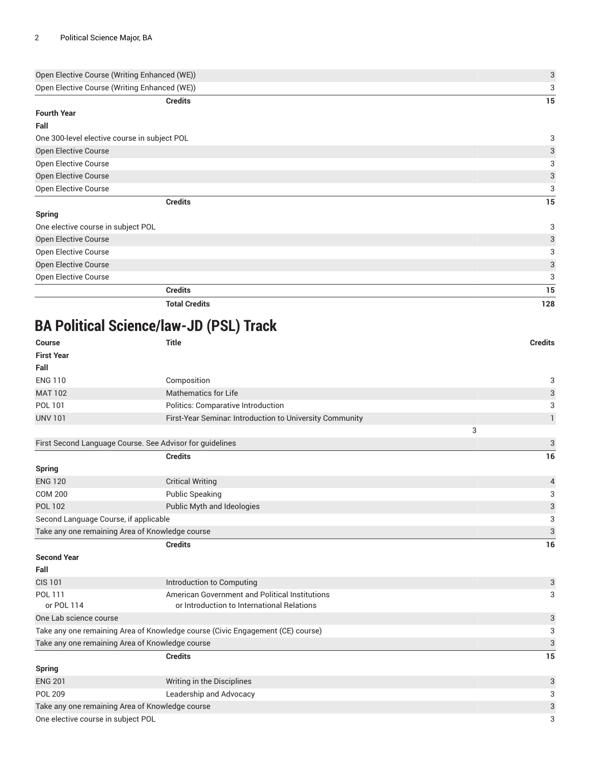| Open Elective Course (Writing Enhanced (WE)) | $\mathbf{3}$              |
|----------------------------------------------|---------------------------|
| Open Elective Course (Writing Enhanced (WE)) | 3                         |
| <b>Credits</b>                               | 15                        |
| <b>Fourth Year</b>                           |                           |
| Fall                                         |                           |
| One 300-level elective course in subject POL | 3                         |
| Open Elective Course                         | 3                         |
| Open Elective Course                         | 3                         |
| Open Elective Course                         | 3                         |
| Open Elective Course                         | 3                         |
| <b>Credits</b>                               | 15                        |
| <b>Spring</b>                                |                           |
| One elective course in subject POL           | 3                         |
| Open Elective Course                         | 3                         |
| Open Elective Course                         | 3                         |
| Open Elective Course                         | $\ensuremath{\mathsf{3}}$ |
| Open Elective Course                         | 3                         |
| <b>Credits</b>                               | 15                        |
| <b>Total Credits</b>                         | 128                       |

## **BA Political Science/law-JD (PSL) Track**

| Course<br><b>First Year</b>                              | <b>Title</b>                                                                   | <b>Credits</b>            |
|----------------------------------------------------------|--------------------------------------------------------------------------------|---------------------------|
| Fall                                                     |                                                                                |                           |
| <b>ENG 110</b>                                           | Composition                                                                    | 3                         |
| <b>MAT 102</b>                                           | <b>Mathematics for Life</b>                                                    | $\ensuremath{\mathsf{3}}$ |
| POL 101                                                  | Politics: Comparative Introduction                                             | 3                         |
| <b>UNV 101</b>                                           | First-Year Seminar. Introduction to University Community                       | $\mathbf{1}$              |
|                                                          |                                                                                | 3                         |
| First Second Language Course. See Advisor for guidelines |                                                                                | 3                         |
|                                                          | <b>Credits</b>                                                                 | 16                        |
| <b>Spring</b>                                            |                                                                                |                           |
| <b>ENG 120</b>                                           | <b>Critical Writing</b>                                                        | $\overline{\mathcal{L}}$  |
| <b>COM 200</b>                                           | <b>Public Speaking</b>                                                         | 3                         |
| <b>POL 102</b>                                           | Public Myth and Ideologies                                                     | 3                         |
| Second Language Course, if applicable                    |                                                                                | 3                         |
| Take any one remaining Area of Knowledge course          |                                                                                | $\ensuremath{\mathsf{3}}$ |
|                                                          | <b>Credits</b>                                                                 | 16                        |
| <b>Second Year</b>                                       |                                                                                |                           |
| Fall                                                     |                                                                                |                           |
| <b>CIS 101</b>                                           | Introduction to Computing                                                      | 3                         |
| POL 111                                                  | American Government and Political Institutions                                 | 3                         |
| or POL 114                                               | or Introduction to International Relations                                     |                           |
| One Lab science course                                   |                                                                                | 3                         |
|                                                          | Take any one remaining Area of Knowledge course (Civic Engagement (CE) course) | 3                         |
| Take any one remaining Area of Knowledge course          |                                                                                | $\ensuremath{\mathsf{3}}$ |
|                                                          | <b>Credits</b>                                                                 | 15                        |
| <b>Spring</b>                                            |                                                                                |                           |
| <b>ENG 201</b>                                           | Writing in the Disciplines                                                     | 3                         |
| <b>POL 209</b>                                           | Leadership and Advocacy                                                        | 3                         |
| Take any one remaining Area of Knowledge course          |                                                                                | 3                         |
| One elective course in subject POL                       |                                                                                | 3                         |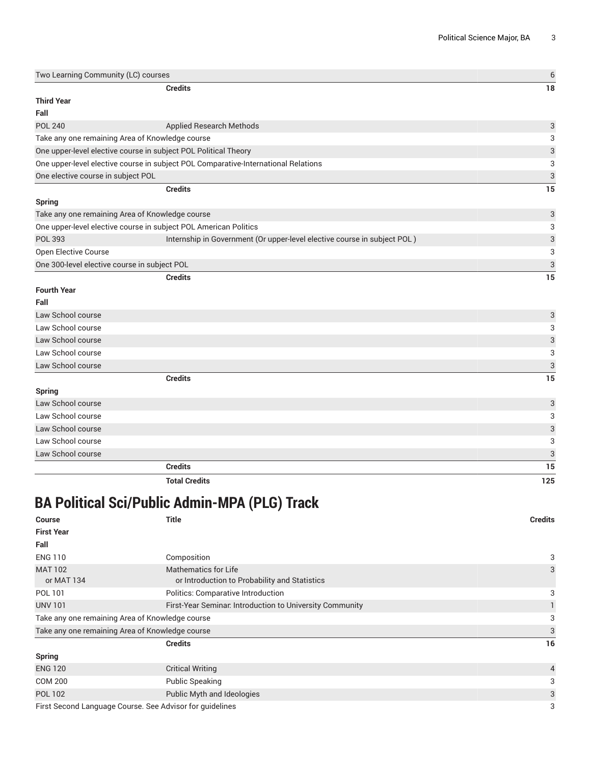| Two Learning Community (LC) courses          |                                                                                    | $\boldsymbol{6}$          |
|----------------------------------------------|------------------------------------------------------------------------------------|---------------------------|
|                                              | <b>Credits</b>                                                                     | 18                        |
| <b>Third Year</b>                            |                                                                                    |                           |
| Fall                                         |                                                                                    |                           |
| <b>POL 240</b>                               | Applied Research Methods                                                           | $\ensuremath{\mathsf{3}}$ |
|                                              | Take any one remaining Area of Knowledge course                                    | 3                         |
|                                              | One upper-level elective course in subject POL Political Theory                    | 3                         |
|                                              | One upper-level elective course in subject POL Comparative-International Relations | 3                         |
| One elective course in subject POL           |                                                                                    | $\mathfrak{S}$            |
|                                              | <b>Credits</b>                                                                     | 15                        |
| Spring                                       |                                                                                    |                           |
|                                              | Take any one remaining Area of Knowledge course                                    | $\ensuremath{\mathsf{3}}$ |
|                                              | One upper-level elective course in subject POL American Politics                   | 3                         |
| <b>POL 393</b>                               | Internship in Government (Or upper-level elective course in subject POL)           | $\ensuremath{\mathsf{3}}$ |
| Open Elective Course                         |                                                                                    | 3                         |
| One 300-level elective course in subject POL |                                                                                    | $\sqrt{3}$                |
|                                              | <b>Credits</b>                                                                     | 15                        |
| <b>Fourth Year</b>                           |                                                                                    |                           |
| Fall                                         |                                                                                    |                           |
| Law School course                            |                                                                                    | $\ensuremath{\mathsf{3}}$ |
| Law School course                            |                                                                                    | 3                         |
| Law School course                            |                                                                                    | 3                         |
| Law School course                            |                                                                                    | 3                         |
| Law School course                            |                                                                                    | $\sqrt{3}$                |
|                                              | <b>Credits</b>                                                                     | 15                        |
| Spring                                       |                                                                                    |                           |
| Law School course                            |                                                                                    | $\mathsf{3}$              |
| Law School course                            |                                                                                    | 3                         |
| Law School course                            |                                                                                    | 3                         |
| Law School course                            |                                                                                    | 3                         |
| Law School course                            |                                                                                    | $\sqrt{3}$                |
|                                              | <b>Credits</b>                                                                     | 15                        |
|                                              | <b>Total Credits</b>                                                               | 125                       |

## **BA Political Sci/Public Admin-MPA (PLG) Track**

| <b>Course</b>                                            | <b>Title</b>                                                                 | <b>Credits</b> |
|----------------------------------------------------------|------------------------------------------------------------------------------|----------------|
| <b>First Year</b>                                        |                                                                              |                |
| Fall                                                     |                                                                              |                |
| <b>ENG 110</b>                                           | Composition                                                                  | 3              |
| <b>MAT 102</b><br>or MAT 134                             | <b>Mathematics for Life</b><br>or Introduction to Probability and Statistics | 3              |
| POL 101                                                  | Politics: Comparative Introduction                                           | 3              |
| <b>UNV 101</b>                                           | First-Year Seminar. Introduction to University Community                     |                |
| Take any one remaining Area of Knowledge course          |                                                                              | 3              |
| Take any one remaining Area of Knowledge course          |                                                                              | 3              |
|                                                          | <b>Credits</b>                                                               | 16             |
| <b>Spring</b>                                            |                                                                              |                |
| <b>ENG 120</b>                                           | <b>Critical Writing</b>                                                      | $\overline{4}$ |
| <b>COM 200</b>                                           | <b>Public Speaking</b>                                                       | 3              |
| <b>POL 102</b>                                           | Public Myth and Ideologies                                                   | 3              |
| First Second Language Course. See Advisor for guidelines |                                                                              | 3              |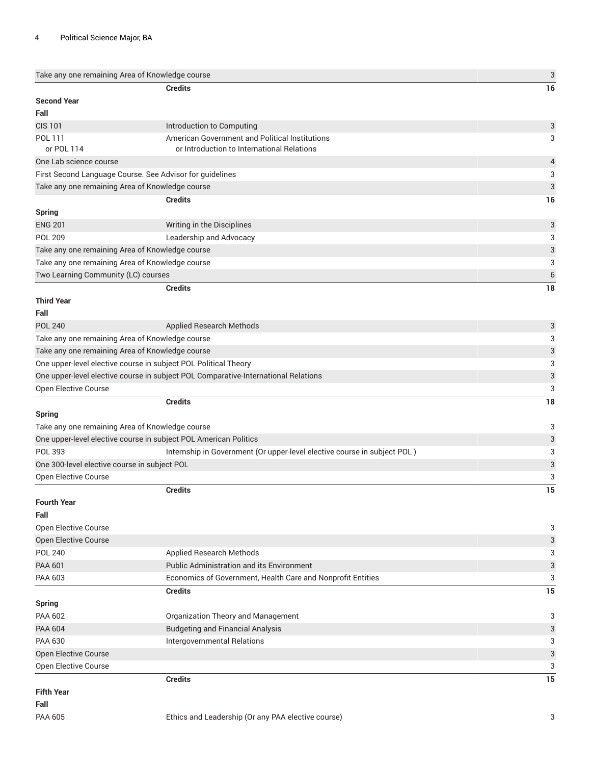| Take any one remaining Area of Knowledge course |                                                                                    | 3                         |
|-------------------------------------------------|------------------------------------------------------------------------------------|---------------------------|
|                                                 | <b>Credits</b>                                                                     | 16                        |
| <b>Second Year</b>                              |                                                                                    |                           |
| Fall                                            |                                                                                    |                           |
| <b>CIS 101</b>                                  | Introduction to Computing                                                          | 3                         |
| POL 111                                         | American Government and Political Institutions                                     | 3                         |
| or POL 114                                      | or Introduction to International Relations                                         |                           |
| One Lab science course                          |                                                                                    | $\overline{4}$            |
|                                                 | First Second Language Course. See Advisor for guidelines                           | 3                         |
|                                                 | Take any one remaining Area of Knowledge course                                    | $\ensuremath{\mathsf{3}}$ |
|                                                 | <b>Credits</b>                                                                     | 16                        |
| <b>Spring</b>                                   |                                                                                    |                           |
| <b>ENG 201</b>                                  | Writing in the Disciplines                                                         | 3                         |
| <b>POL 209</b>                                  | Leadership and Advocacy                                                            | 3                         |
|                                                 | Take any one remaining Area of Knowledge course                                    | $\ensuremath{\mathsf{3}}$ |
|                                                 | Take any one remaining Area of Knowledge course                                    | 3                         |
| Two Learning Community (LC) courses             |                                                                                    | $\,$ 6 $\,$               |
|                                                 | <b>Credits</b>                                                                     | 18                        |
| <b>Third Year</b>                               |                                                                                    |                           |
| Fall                                            |                                                                                    |                           |
| <b>POL 240</b>                                  | <b>Applied Research Methods</b>                                                    | 3                         |
|                                                 | Take any one remaining Area of Knowledge course                                    | 3                         |
|                                                 | Take any one remaining Area of Knowledge course                                    | 3                         |
|                                                 | One upper-level elective course in subject POL Political Theory                    | 3                         |
|                                                 | One upper-level elective course in subject POL Comparative-International Relations | $\ensuremath{\mathsf{3}}$ |
| Open Elective Course                            |                                                                                    | 3                         |
|                                                 | <b>Credits</b>                                                                     | 18                        |
| <b>Spring</b>                                   |                                                                                    |                           |
|                                                 | Take any one remaining Area of Knowledge course                                    | 3                         |
|                                                 | One upper-level elective course in subject POL American Politics                   | $\ensuremath{\mathsf{3}}$ |
| POL 393                                         | Internship in Government (Or upper-level elective course in subject POL)           | 3                         |
| One 300-level elective course in subject POL    |                                                                                    | $\ensuremath{\mathsf{3}}$ |
| Open Elective Course                            |                                                                                    | 3                         |
|                                                 | <b>Credits</b>                                                                     | 15                        |
| <b>Fourth Year</b>                              |                                                                                    |                           |
| Fall                                            |                                                                                    |                           |
| <b>Open Elective Course</b>                     |                                                                                    | 3                         |
| Open Elective Course                            |                                                                                    | 3                         |
| <b>POL 240</b>                                  | Applied Research Methods                                                           | 3                         |
| <b>PAA 601</b>                                  | Public Administration and its Environment                                          | $\ensuremath{\mathsf{3}}$ |
| PAA 603                                         | Economics of Government, Health Care and Nonprofit Entities                        | 3                         |
|                                                 | <b>Credits</b>                                                                     | 15                        |
| <b>Spring</b>                                   |                                                                                    |                           |
| PAA 602                                         | Organization Theory and Management                                                 | 3                         |
| <b>PAA 604</b>                                  | <b>Budgeting and Financial Analysis</b>                                            | 3                         |
| <b>PAA 630</b>                                  | Intergovernmental Relations                                                        | 3                         |
| Open Elective Course                            |                                                                                    | $\ensuremath{\mathsf{3}}$ |
| Open Elective Course                            |                                                                                    | 3                         |
|                                                 | <b>Credits</b>                                                                     | 15                        |
| <b>Fifth Year</b>                               |                                                                                    |                           |
| Fall                                            |                                                                                    |                           |
| <b>PAA 605</b>                                  | Ethics and Leadership (Or any PAA elective course)                                 | 3                         |